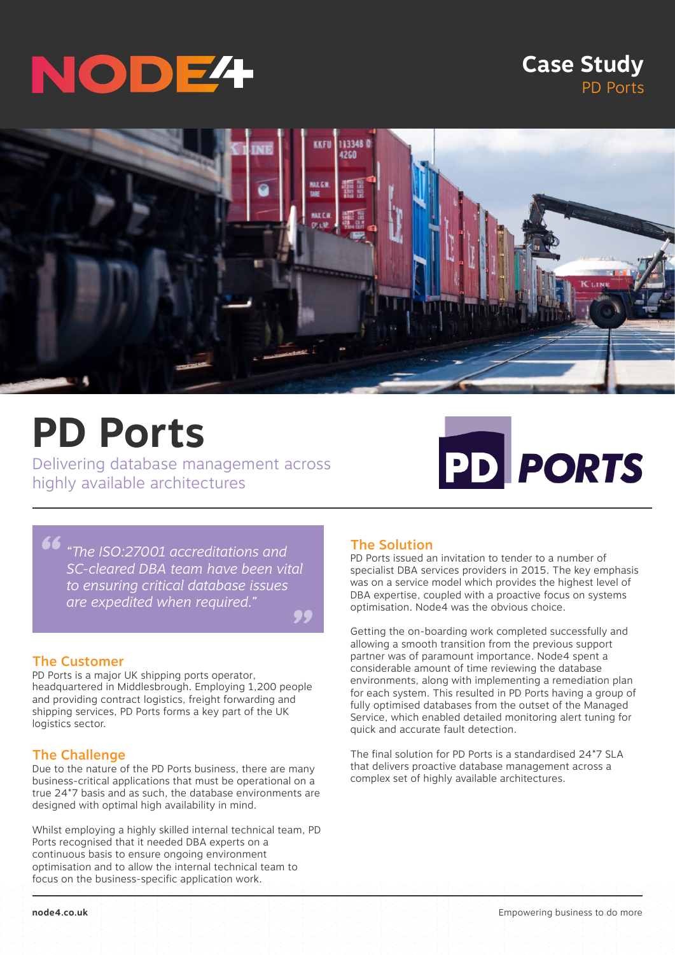# NODE

### **Case Study** PD Ports



## **PD Ports**

Delivering database management across highly available architectures



*" " "The ISO:27001 accreditations and SC-cleared DBA team have been vital to ensuring critical database issues are expedited when required."*

#### The Customer

PD Ports is a major UK shipping ports operator, headquartered in Middlesbrough. Employing 1,200 people and providing contract logistics, freight forwarding and shipping services, PD Ports forms a key part of the UK logistics sector.

#### The Challenge

Due to the nature of the PD Ports business, there are many business-critical applications that must be operational on a true 24\*7 basis and as such, the database environments are designed with optimal high availability in mind.

Whilst employing a highly skilled internal technical team, PD Ports recognised that it needed DBA experts on a continuous basis to ensure ongoing environment optimisation and to allow the internal technical team to focus on the business-specific application work.

#### The Solution

PD Ports issued an invitation to tender to a number of specialist DBA services providers in 2015. The key emphasis was on a service model which provides the highest level of DBA expertise, coupled with a proactive focus on systems optimisation. Node4 was the obvious choice.

Getting the on-boarding work completed successfully and allowing a smooth transition from the previous support partner was of paramount importance. Node4 spent a considerable amount of time reviewing the database environments, along with implementing a remediation plan for each system. This resulted in PD Ports having a group of fully optimised databases from the outset of the Managed Service, which enabled detailed monitoring alert tuning for quick and accurate fault detection.

The final solution for PD Ports is a standardised 24\*7 SLA that delivers proactive database management across a complex set of highly available architectures.